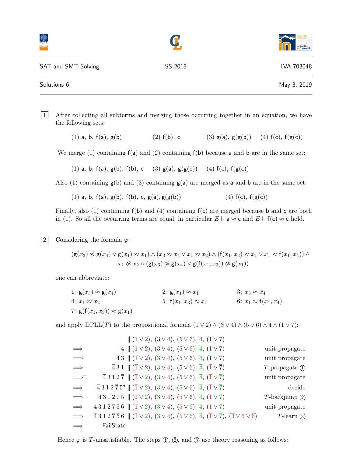|                     |         | <b>Institut für</b><br><b>Informatik</b> |
|---------------------|---------|------------------------------------------|
| SAT and SMT Solving | SS 2019 | LVA 703048                               |
| Solutions 6         |         | May 3, 2019                              |

1 After collecting all subterms and merging those occurring together in an equation, we have the following sets:

(1) a, b,  $f(a)$ ,  $g(b)$  (2)  $f(b)$ , c (3)  $g(a)$ ,  $g(g(b))$  (4)  $f(c)$ ,  $f(g(c))$ 

We merge (1) containing  $f(a)$  and (2) containing  $f(b)$  because a and b are in the same set:

(1) a, b, f(a), g(b), f(b), c (3) g(a),  $g(g(b))$  (4) f(c),  $f(g(c))$ 

Also (1) containing  $g(b)$  and (3) containing  $g(a)$  are merged as a and b are in the same set:

(1) a, b,  $f(a)$ ,  $g(b)$ ,  $f(b)$ , c,  $g(a)$ ,  $g(g(b))$  (4)  $f(c)$ ,  $f(g(c))$ 

Finally, also (1) containing  $f(b)$  and (4) containing  $f(c)$  are merged because b and c are both in (1). So all the occurring terms are equal, in particular  $E \models a \approx c$  and  $E \models f(c) \approx c$  hold.

|2| Considering the formula  $\varphi$ :

$$
(g(x_3) \not\approx g(x_4) \lor g(x_1) \approx x_1) \land (x_3 \approx x_4 \lor x_1 \approx x_2) \land (f(x_1, x_3) \approx x_1 \lor x_1 \approx f(x_1, x_4)) \land x_1 \not\approx x_2 \land (g(x_3) \not\approx g(x_4) \lor g(f(x_1, x_3)) \not\approx g(x_1))
$$

one can abbreviate:

1:  $g(x_3) \approx g(x_4)$  2:  $g(x_1) \approx x_1$  3:  $x_3 \approx x_4$  $4: x_1 \approx x_2$   $5: f(x_1, x_3) \approx x_1$   $6: x_1 \approx f(x_1, x_4)$ 7:  $g(f(x_1, x_3)) \approx g(x_1)$ 

and apply DPLL(T) to the propositional formula  $(\overline{1} \vee 2) \wedge (3 \vee 4) \wedge (5 \vee 6) \wedge \overline{4} \wedge (\overline{1} \vee \overline{7})$ :

|                     | $\  (\overline{1} \vee 2), (3 \vee 4), (5 \vee 6), \overline{4}, (\overline{1} \vee \overline{7})\ $                                                                       |                                  |
|---------------------|----------------------------------------------------------------------------------------------------------------------------------------------------------------------------|----------------------------------|
| $\implies$          | $\overline{4}$    $(\overline{1} \vee 2), (3 \vee 4), (5 \vee 6), \overline{4}, (\overline{1} \vee \overline{7})$                                                          | unit propagate                   |
| $\implies$          | $\overline{4}$ 3 $\parallel$ $(\overline{1} \vee 2), (3 \vee 4), (5 \vee 6), \overline{4}, (\overline{1} \vee \overline{7})$                                               | unit propagate                   |
| $\implies$          | $\overline{4}$ 3 1 $\parallel$ ( $\overline{1}$ $\vee$ 2), ( $3 \vee 4$ ), ( $5 \vee 6$ ), $\overline{4}$ , ( $\overline{1}$ $\vee$ $\overline{7}$ )                       | $T$ -propagate $\textcircled{1}$ |
| $\Longrightarrow^+$ | $\overline{4}$ 3 1 2 $\overline{7}$    $(\overline{1} \vee 2), (3 \vee 4), (5 \vee 6), \overline{4}, (\overline{1} \vee \overline{7})$                                     | unit propagate                   |
| $\implies$          | $\overline{4}$ 3 1 2 $\overline{7}$ 5 <sup>d</sup>    $(\overline{1} \vee 2)$ , $(3 \vee 4)$ , $(5 \vee 6)$ , $\overline{4}$ , $(\overline{1} \vee \overline{7})$          | decide                           |
| $\implies$          | $\overline{4}$ 3 1 2 $\overline{7}$ $\overline{5}$ $\parallel$ $(\overline{1} \vee 2), (3 \vee 4), (5 \vee 6), \overline{4}, (\overline{1} \vee \overline{7})$             | $T$ -backjump $\circled{2}$      |
| $\implies$          | $\overline{4}312\overline{7}56 \parallel (\overline{1}\vee 2), (3\vee 4), (5\vee 6), \overline{4}, (\overline{1}\vee \overline{7})$                                        | unit propagate                   |
| $\implies$          | $\overline{4}312\overline{7}56 \parallel (\overline{1}\vee 2), (3\vee 4), (5\vee 6), \overline{4}, (\overline{1}\vee \overline{7}), (\overline{3}\vee 5\vee \overline{6})$ | $T$ -learn $\circled{3}$         |
| $\implies$          | FailState                                                                                                                                                                  |                                  |